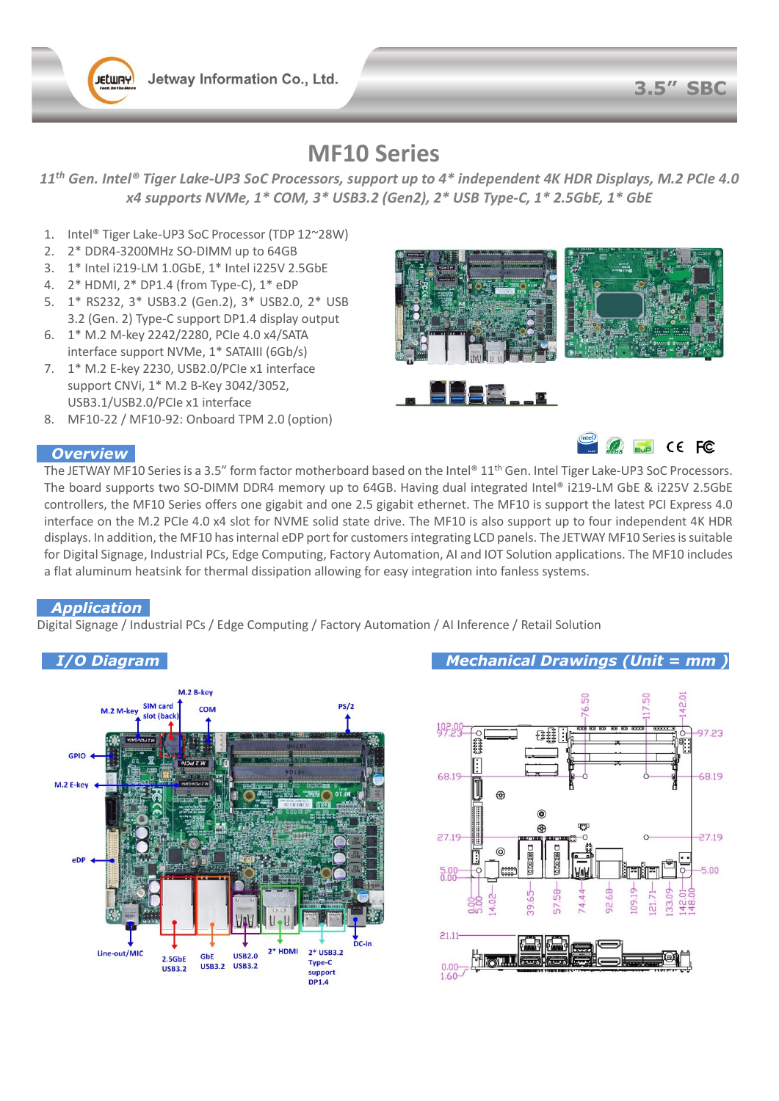Jetway Information Co., Ltd.



## **MF10 Series**

*11th Gen. Intel® Tiger Lake-UP3 SoC Processors, support up to 4\* independent 4K HDR Displays, M.2 PCIe 4.0 x4 supports NVMe, 1\* COM, 3\* USB3.2 (Gen2), 2\* USB Type-C, 1\* 2.5GbE, 1\* GbE*

- 1. Intel® Tiger Lake-UP3 SoC Processor (TDP 12~28W)
- 2. 2\* DDR4-3200MHz SO-DIMM up to 64GB
- 3. 1\* Intel i219-LM 1.0GbE, 1\* Intel i225V 2.5GbE
- 4. 2\* HDMI, 2\* DP1.4 (from Type-C), 1\* eDP
- 5. 1\* RS232, 3\* USB3.2 (Gen.2), 3\* USB2.0, 2\* USB 3.2 (Gen. 2) Type-C support DP1.4 display output
- 6. 1\* M.2 M-key 2242/2280, PCIe 4.0 x4/SATA interface support NVMe, 1\* SATAIII (6Gb/s)
- 7. 1\* M.2 E-key 2230, USB2.0/PCIe x1 interface support CNVi, 1\* M.2 B-Key 3042/3052, USB3.1/USB2.0/PCIe x1 interface
- 8. MF10-22 / MF10-92: Onboard TPM 2.0 (option)

# $E_{\text{Lip}}$  CE FC

**De Secondidad** 

#### *Overview*

The JETWAY MF10 Series is a 3.5" form factor motherboard based on the Intel® 11<sup>th</sup> Gen. Intel Tiger Lake-UP3 SoC Processors. The board supports two SO-DIMM DDR4 memory up to 64GB. Having dual integrated Intel® i219-LM GbE & i225V 2.5GbE controllers, the MF10 Series offers one gigabit and one 2.5 gigabit ethernet. The MF10 is support the latest PCI Express 4.0 interface on the M.2 PCIe 4.0 x4 slot for NVME solid state drive. The MF10 is also support up to four independent 4K HDR displays. In addition, the MF10 has internal eDP port for customers integrating LCD panels. The JETWAY MF10 Seriesis suitable for Digital Signage, Industrial PCs, Edge Computing, Factory Automation, AI and IOT Solution applications. The MF10 includes a flat aluminum heatsink for thermal dissipation allowing for easy integration into fanless systems.

#### *Application*

Digital Signage / Industrial PCs / Edge Computing / Factory Automation / AI Inference / Retail Solution